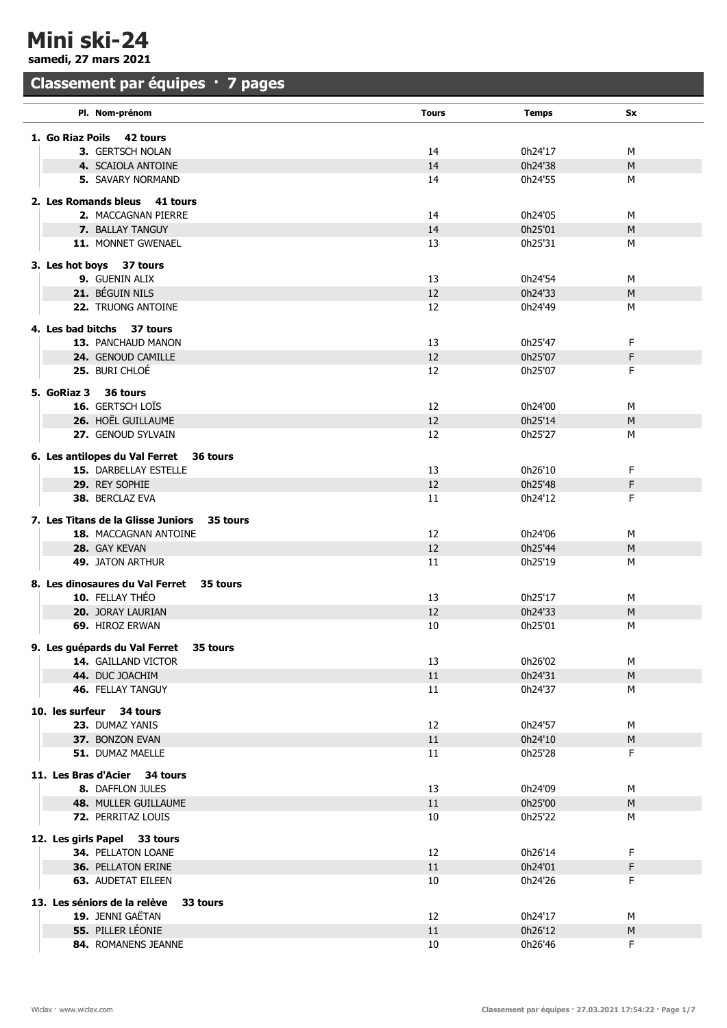Mini ski-24

samedi, 27 mars 2021

## Classement par équipes · 7 pages

| Pl. Nom-prénom                                                                                        | <b>Tours</b> | <b>Temps</b> | Sx        |  |
|-------------------------------------------------------------------------------------------------------|--------------|--------------|-----------|--|
| 1. Go Riaz Poils<br>42 tours                                                                          |              |              |           |  |
| 3. GERTSCH NOLAN                                                                                      | 14           | 0h24'17      | м         |  |
| 4. SCAIOLA ANTOINE                                                                                    | 14           | 0h24'38      | M         |  |
| <b>5. SAVARY NORMAND</b>                                                                              | 14           | 0h24'55      | м         |  |
|                                                                                                       |              |              |           |  |
| 2. Les Romands bleus 41 tours                                                                         |              |              |           |  |
| 2. MACCAGNAN PIERRE                                                                                   | 14           | 0h24'05      | м         |  |
| <b>7. BALLAY TANGUY</b>                                                                               | 14           | 0h25'01      | M         |  |
| 11. MONNET GWENAEL                                                                                    | 13           | 0h25'31      | M         |  |
| 3. Les hot boys 37 tours                                                                              |              |              |           |  |
| 9. GUENIN ALIX                                                                                        | 13           | 0h24'54      | м         |  |
| 21. BÉGUIN NILS                                                                                       | 12           | 0h24'33      | M         |  |
| 22. TRUONG ANTOINE                                                                                    | 12           | 0h24'49      | М         |  |
|                                                                                                       |              |              |           |  |
| 4. Les bad bitchs 37 tours                                                                            |              |              |           |  |
| <b>13. PANCHAUD MANON</b>                                                                             | 13           | 0h25'47      | F         |  |
| 24. GENOUD CAMILLE                                                                                    | 12           | 0h25'07      | F         |  |
| 25. BURI CHLOÉ                                                                                        | 12           | 0h25'07      | F.        |  |
| 5. GoRiaz 3 36 tours                                                                                  |              |              |           |  |
| <b>16.</b> GERTSCH LOÏS                                                                               | 12           | 0h24'00      | M         |  |
| <b>26. HOËL GUILLAUME</b>                                                                             | 12           | 0h25'14      | M         |  |
| 27. GENOUD SYLVAIN                                                                                    | 12           | 0h25'27      | м         |  |
|                                                                                                       |              |              |           |  |
| 6. Les antilopes du Val Ferret<br>36 tours                                                            |              |              |           |  |
| <b>15. DARBELLAY ESTELLE</b>                                                                          | 13           | 0h26'10      | F.        |  |
| 29. REY SOPHIE                                                                                        | 12           | 0h25'48      | F         |  |
| 38. BERCLAZ EVA                                                                                       | 11           | 0h24'12      | F.        |  |
| 7. Les Titans de la Glisse Juniors<br>35 tours                                                        |              |              |           |  |
| 18. MACCAGNAN ANTOINE                                                                                 | 12           | 0h24'06      | м         |  |
|                                                                                                       | 12           | 0h25'44      | M         |  |
| <b>49. JATON ARTHUR</b>                                                                               | 11           | 0h25'19      | M         |  |
|                                                                                                       |              |              |           |  |
| 28. GAY KEVAN<br>8. Les dinosaures du Val Ferret<br>35 tours<br>10. FELLAY THÉO<br>0h25'17<br>13<br>м |              |              |           |  |
|                                                                                                       |              |              |           |  |
| 20. JORAY LAURIAN                                                                                     | 12           | 0h24'33      | M         |  |
| 69. HIROZ ERWAN                                                                                       | 10           | 0h25'01      | м         |  |
| 9. Les guépards du Val Ferret<br>35 tours                                                             |              |              |           |  |
| 14. GAILLAND VICTOR                                                                                   | 13           | 0h26'02      | M         |  |
| 44. DUC JOACHIM                                                                                       | 11           | 0h24'31      | M         |  |
| <b>46. FELLAY TANGUY</b>                                                                              | 11           | 0h24'37      | М         |  |
| 10. les surfeur 34 tours                                                                              |              |              |           |  |
| 23. DUMAZ YANIS                                                                                       | 12           | 0h24'57      | М         |  |
| 37. BONZON EVAN                                                                                       | 11           | 0h24'10      | ${\sf M}$ |  |
| 51. DUMAZ MAELLE                                                                                      | 11           | 0h25'28      | F.        |  |
|                                                                                                       |              |              |           |  |
| 11. Les Bras d'Acier<br>34 tours                                                                      |              |              |           |  |
| 8. DAFFLON JULES                                                                                      | 13           | 0h24'09      | M         |  |
| 48. MULLER GUILLAUME                                                                                  | 11           | 0h25'00      | M         |  |
| <b>72. PERRITAZ LOUIS</b>                                                                             | 10           | 0h25'22      | М         |  |
| 12. Les girls Papel 33 tours                                                                          |              |              |           |  |
| 34. PELLATON LOANE                                                                                    | 12           | 0h26'14      | F.        |  |
| <b>36. PELLATON ERINE</b>                                                                             | 11           | 0h24'01      | F         |  |
| <b>63. AUDETAT EILEEN</b>                                                                             | 10           | 0h24'26      | F         |  |
|                                                                                                       |              |              |           |  |
| 13. Les séniors de la relève<br>33 tours                                                              |              |              |           |  |
| 19. JENNI GAËTAN                                                                                      | 12           | 0h24'17      | M         |  |
| 55. PILLER LÉONIE                                                                                     | 11           | 0h26'12      | ${\sf M}$ |  |
| 84. ROMANENS JEANNE                                                                                   | 10           | 0h26'46      | F.        |  |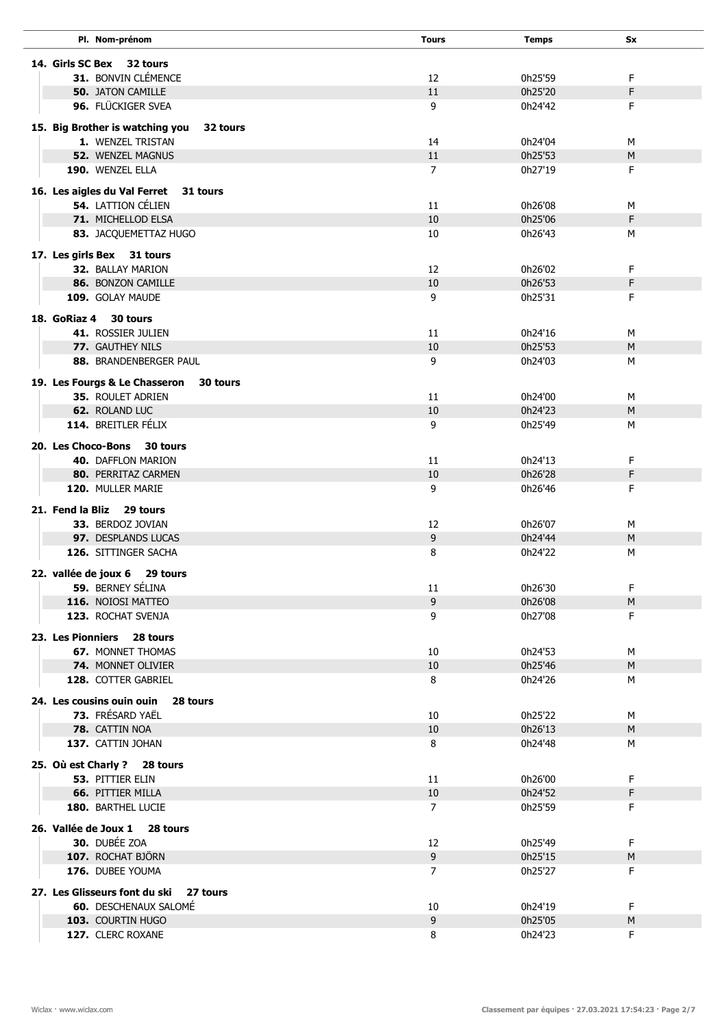| Pl. Nom-prénom                                                   | <b>Tours</b>         | <b>Temps</b>       | Sx      |  |
|------------------------------------------------------------------|----------------------|--------------------|---------|--|
| 14. Girls SC Bex 32 tours                                        |                      |                    |         |  |
| 31. BONVIN CLÉMENCE                                              | 12                   | 0h25'59            | F.      |  |
| <b>50. JATON CAMILLE</b>                                         | 11                   | 0h25'20            | F       |  |
| 96. FLÜCKIGER SVEA                                               | 9                    | 0h24'42            | F.      |  |
|                                                                  |                      |                    |         |  |
| 15. Big Brother is watching you<br>32 tours<br>1. WENZEL TRISTAN | 14                   | 0h24'04            |         |  |
| 52. WENZEL MAGNUS                                                | 11                   | 0h25'53            | м<br>M  |  |
| 190. WENZEL ELLA                                                 | $\overline{7}$       | 0h27'19            | F       |  |
|                                                                  |                      |                    |         |  |
| 16. Les aigles du Val Ferret<br>31 tours<br>54. LATTION CÉLIEN   |                      |                    |         |  |
| 71. MICHELLOD ELSA                                               | 11<br>10             | 0h26'08<br>0h25'06 | М<br>F  |  |
| 83. JACQUEMETTAZ HUGO                                            | 10                   | 0h26'43            | М       |  |
|                                                                  |                      |                    |         |  |
| 17. Les girls Bex 31 tours                                       |                      |                    |         |  |
| 32. BALLAY MARION<br>86. BONZON CAMILLE                          | 12<br>10             | 0h26'02<br>0h26'53 | F<br>F  |  |
| 109. GOLAY MAUDE                                                 | 9                    | 0h25'31            | F       |  |
|                                                                  |                      |                    |         |  |
| 18. GoRiaz 4<br>30 tours                                         |                      |                    |         |  |
| 41. ROSSIER JULIEN                                               | 11                   | 0h24'16            | M       |  |
| 77. GAUTHEY NILS<br>88. BRANDENBERGER PAUL                       | 10<br>9              | 0h25'53<br>0h24'03 | M<br>м  |  |
|                                                                  |                      |                    |         |  |
| 19. Les Fourgs & Le Chasseron<br>30 tours                        |                      |                    |         |  |
| <b>35. ROULET ADRIEN</b>                                         | 11                   | 0h24'00            | м       |  |
| 62. ROLAND LUC<br>114. BREITLER FÉLIX                            | 10<br>9              | 0h24'23<br>0h25'49 | M<br>М  |  |
|                                                                  |                      |                    |         |  |
| 20. Les Choco-Bons<br>30 tours                                   |                      |                    |         |  |
| 40. DAFFLON MARION                                               | 11                   | 0h24'13            | F       |  |
| 80. PERRITAZ CARMEN<br>120. MULLER MARIE                         | 10<br>9              | 0h26'28<br>0h26'46 | F<br>F. |  |
|                                                                  |                      |                    |         |  |
| 21. Fend la Bliz<br>29 tours                                     |                      |                    |         |  |
| 33. BERDOZ JOVIAN                                                | 12                   | 0h26'07            | м       |  |
| 97. DESPLANDS LUCAS<br>126. SITTINGER SACHA                      | 9<br>8               | 0h24'44<br>0h24'22 | M<br>M  |  |
|                                                                  |                      |                    |         |  |
| 29 tours<br>22. vallée de joux 6                                 |                      |                    |         |  |
| 59. BERNEY SÉLINA                                                | 11                   | 0h26'30            | F       |  |
| 116. NOIOSI MATTEO<br>123. ROCHAT SVENJA                         | 9<br>9               | 0h26'08<br>0h27'08 | M<br>F. |  |
|                                                                  |                      |                    |         |  |
| 23. Les Pionniers 28 tours                                       |                      |                    |         |  |
| <b>67. MONNET THOMAS</b>                                         | 10                   | 0h24'53            | м       |  |
| 74. MONNET OLIVIER<br>128. COTTER GABRIEL                        | 10<br>8              | 0h25'46<br>0h24'26 | M       |  |
|                                                                  |                      |                    | м       |  |
| 24. Les cousins ouin ouin<br>28 tours                            |                      |                    |         |  |
| 73. FRÉSARD YAËL                                                 | 10                   | 0h25'22            | M       |  |
| 78. CATTIN NOA<br>137. CATTIN JOHAN                              | 10<br>8              | 0h26'13            | M       |  |
|                                                                  |                      | 0h24'48            | м       |  |
| 25. Où est Charly ? 28 tours                                     |                      |                    |         |  |
| <b>53. PITTIER ELIN</b>                                          | 11                   | 0h26'00            | F.      |  |
| <b>66. PITTIER MILLA</b>                                         | 10<br>$\overline{7}$ | 0h24'52            | F<br>F. |  |
| 180. BARTHEL LUCIE                                               |                      | 0h25'59            |         |  |
| 26. Vallée de Joux 1 28 tours                                    |                      |                    |         |  |
| 30. DUBÉE ZOA                                                    | 12                   | 0h25'49            | F       |  |
| 107. ROCHAT BJÖRN                                                | 9                    | 0h25'15            | M       |  |
| 176. DUBEE YOUMA                                                 | 7                    | 0h25'27            | F.      |  |
| 27. Les Glisseurs font du ski<br>27 tours                        |                      |                    |         |  |
| <b>60.</b> DESCHENAUX SALOMÉ                                     | 10                   | 0h24'19            | F       |  |
| 103. COURTIN HUGO                                                | 9                    | 0h25'05            | M       |  |
| 127. CLERC ROXANE                                                | 8                    | 0h24'23            | F.      |  |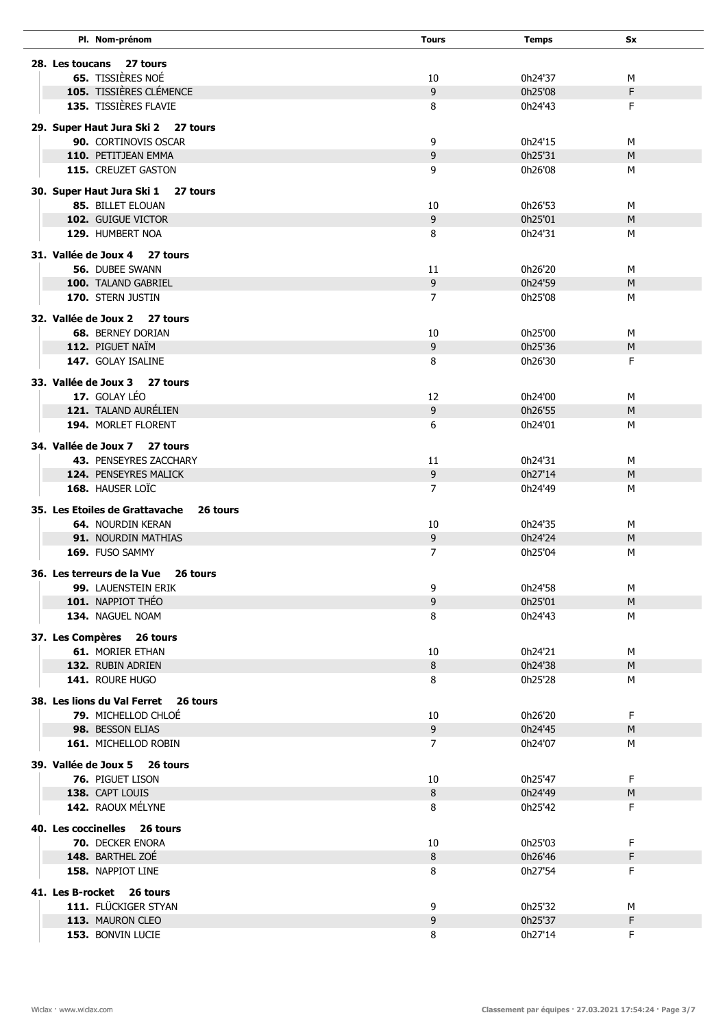| Pl. Nom-prénom                             | <b>Tours</b>   | <b>Temps</b>       | Sx      |  |
|--------------------------------------------|----------------|--------------------|---------|--|
| 27 tours<br>28. Les toucans                |                |                    |         |  |
| <b>65.</b> TISSIÈRES NOÉ                   | 10             | 0h24'37            | м       |  |
| 105. TISSIÈRES CLÉMENCE                    | 9              | 0h25'08            | F       |  |
| <b>135. TISSIÈRES FLAVIE</b>               | 8              | 0h24'43            | F       |  |
|                                            |                |                    |         |  |
| 29. Super Haut Jura Ski 2 27 tours         |                |                    |         |  |
| 90. CORTINOVIS OSCAR                       | 9              | 0h24'15            | M       |  |
| 110. PETITJEAN EMMA                        | 9              | 0h25'31            | M       |  |
| 115. CREUZET GASTON                        | 9              | 0h26'08            | м       |  |
| 30. Super Haut Jura Ski 1<br>27 tours      |                |                    |         |  |
| 85. BILLET ELOUAN                          | 10             | 0h26'53            | M       |  |
| 102. GUIGUE VICTOR                         | 9              | 0h25'01            | M       |  |
| 129. HUMBERT NOA                           | 8              | 0h24'31            | м       |  |
| 31. Vallée de Joux 4 27 tours              |                |                    |         |  |
| <b>56. DUBEE SWANN</b>                     | 11             | 0h26'20            | м       |  |
| 100. TALAND GABRIEL                        | 9              | 0h24'59            | M       |  |
| 170. STERN JUSTIN                          | $\overline{7}$ | 0h25'08            | м       |  |
| 32. Vallée de Joux 2 27 tours              |                |                    |         |  |
| <b>68. BERNEY DORIAN</b>                   | 10             | 0h25'00            | м       |  |
| 112. PIGUET NAÏM                           | 9              | 0h25'36            | M       |  |
| 147. GOLAY ISALINE                         | 8              | 0h26'30            | F       |  |
|                                            |                |                    |         |  |
| 33. Vallée de Joux 3 27 tours              |                |                    |         |  |
| 17. GOLAY LÉO<br>121. TALAND AURÉLIEN      | 12             | 0h24'00            | м       |  |
| 194. MORLET FLORENT                        | 9<br>6         | 0h26'55<br>0h24'01 | M<br>м  |  |
|                                            |                |                    |         |  |
| 34. Vallée de Joux 7 27 tours              |                |                    |         |  |
| 43. PENSEYRES ZACCHARY                     | 11             | 0h24'31            | M       |  |
| 124. PENSEYRES MALICK                      | 9              | 0h27'14            | M       |  |
| 168. HAUSER LOIC                           | 7              | 0h24'49            | м       |  |
| 35. Les Etoiles de Grattavache<br>26 tours |                |                    |         |  |
| <b>64. NOURDIN KERAN</b>                   | 10             | 0h24'35            | м       |  |
| <b>91. NOURDIN MATHIAS</b>                 | 9              | 0h24'24            | M       |  |
| 169. FUSO SAMMY                            | $\overline{7}$ | 0h25'04            | м       |  |
| 36. Les terreurs de la Vue<br>26 tours     |                |                    |         |  |
| 99. LAUENSTEIN ERIK                        | 9              | 0h24'58            | М       |  |
| 101. NAPPIOT THÉO                          | 9              | 0h25'01            | M       |  |
| 134. NAGUEL NOAM                           | 8              | 0h24'43            | М       |  |
| 37. Les Compères 26 tours                  |                |                    |         |  |
| <b>61. MORIER ETHAN</b>                    | 10             | 0h24'21            | М       |  |
| 132. RUBIN ADRIEN                          | 8              | 0h24'38            | M       |  |
| 141. ROURE HUGO                            | 8              | 0h25'28            | м       |  |
| 38. Les lions du Val Ferret 26 tours       |                |                    |         |  |
| 79. MICHELLOD CHLOE                        | 10             | 0h26'20            | F       |  |
| 98. BESSON ELIAS                           | $\overline{9}$ | 0h24'45            | M       |  |
| 161. MICHELLOD ROBIN                       | 7              | 0h24'07            | М       |  |
| 39. Vallée de Joux 5 26 tours              |                |                    |         |  |
| 76. PIGUET LISON                           | 10             | 0h25'47            | F.      |  |
| 138. CAPT LOUIS                            | 8              | 0h24'49            | M       |  |
| 142. RAOUX MÉLYNE                          | 8              | 0h25'42            | F       |  |
| 40. Les coccinelles 26 tours               |                |                    |         |  |
| 70. DECKER ENORA                           | 10             | 0h25'03            | F       |  |
| 148. BARTHEL ZOÉ                           | 8              | 0h26'46            | F.      |  |
| 158. NAPPIOT LINE                          | 8              | 0h27'54            | F.      |  |
|                                            |                |                    |         |  |
| 41. Les B-rocket 26 tours                  |                |                    |         |  |
| 111. FLÜCKIGER STYAN                       | 9              | 0h25'32            | м       |  |
| 113. MAURON CLEO                           | 9<br>8         | 0h25'37<br>0h27'14 | F<br>F. |  |
| 153. BONVIN LUCIE                          |                |                    |         |  |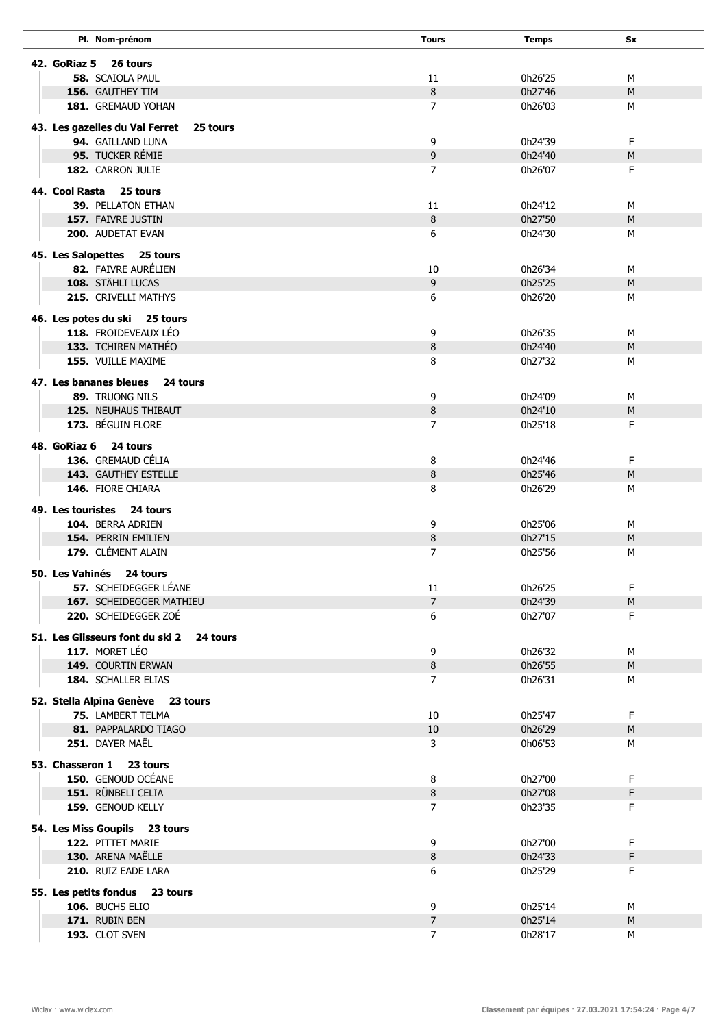| Pl. Nom-prénom                                        | <b>Tours</b>        | <b>Temps</b>       | <b>Sx</b> |  |
|-------------------------------------------------------|---------------------|--------------------|-----------|--|
| 42. GoRiaz 5<br>26 tours                              |                     |                    |           |  |
| <b>58. SCAIOLA PAUL</b>                               | 11                  | 0h26'25            | М         |  |
| 156. GAUTHEY TIM                                      | 8                   | 0h27'46            | M         |  |
| 181. GREMAUD YOHAN                                    | $\overline{7}$      | 0h26'03            | М         |  |
|                                                       |                     |                    |           |  |
| 43. Les gazelles du Val Ferret<br>25 tours            |                     |                    |           |  |
| 94. GAILLAND LUNA                                     | 9                   | 0h24'39            | F         |  |
| 95. TUCKER RÉMIE                                      | 9                   | 0h24'40            | M         |  |
| 182. CARRON JULIE                                     | $\overline{7}$      | 0h26'07            | F         |  |
| 44. Cool Rasta<br>25 tours                            |                     |                    |           |  |
| <b>39. PELLATON ETHAN</b>                             | 11                  | 0h24'12            | М         |  |
| 157. FAIVRE JUSTIN                                    | 8                   | 0h27'50            | M         |  |
| <b>200. AUDETAT EVAN</b>                              | 6                   | 0h24'30            | M         |  |
|                                                       |                     |                    |           |  |
| 45. Les Salopettes 25 tours                           |                     |                    |           |  |
| 82. FAIVRE AURÉLIEN                                   | 10                  | 0h26'34            | М         |  |
| 108. STÄHLI LUCAS                                     | 9                   | 0h25'25            | M         |  |
| 215. CRIVELLI MATHYS                                  | 6                   | 0h26'20            | М         |  |
| 46. Les potes du ski 25 tours                         |                     |                    |           |  |
| 118. FROIDEVEAUX LÉO                                  | 9                   | 0h26'35            | М         |  |
| 133. TCHIREN MATHÉO                                   | 8                   | 0h24'40            | M         |  |
| <b>155. VUILLE MAXIME</b>                             | 8                   | 0h27'32            | М         |  |
|                                                       |                     |                    |           |  |
| 47. Les bananes bleues<br>24 tours<br>89. TRUONG NILS | 9                   | 0h24'09            | М         |  |
| <b>125. NEUHAUS THIBAUT</b>                           | 8                   | 0h24'10            | M         |  |
| 173. BÉGUIN FLORE                                     | $\overline{7}$      | 0h25'18            | F.        |  |
|                                                       |                     |                    |           |  |
| 48. GoRiaz 6<br>24 tours                              |                     |                    |           |  |
| 136. GREMAUD CÉLIA                                    | 8                   | 0h24'46            | F.        |  |
| <b>143. GAUTHEY ESTELLE</b>                           | 8                   | 0h25'46            | M         |  |
| 146. FIORE CHIARA                                     | 8                   | 0h26'29            | м         |  |
| 49. Les touristes 24 tours                            |                     |                    |           |  |
| 104. BERRA ADRIEN                                     | 9                   | 0h25'06            | М         |  |
| 154. PERRIN EMILIEN                                   | 8                   | 0h27'15            | M         |  |
| 179. CLÉMENT ALAIN                                    | $\overline{7}$      | 0h25'56            | М         |  |
|                                                       |                     |                    |           |  |
| 50. Les Vahinés<br>24 tours                           |                     |                    |           |  |
| 57. SCHEIDEGGER LÉANE                                 | 11                  | 0h26'25            | F         |  |
| 167. SCHEIDEGGER MATHIEU<br>220. SCHEIDEGGER ZOÉ      | $\overline{7}$<br>6 | 0h24'39<br>0h27'07 | M<br>F.   |  |
|                                                       |                     |                    |           |  |
| 51. Les Glisseurs font du ski 2<br>24 tours           |                     |                    |           |  |
| 117. MORET LÉO                                        | 9                   | 0h26'32            | М         |  |
| 149. COURTIN ERWAN                                    | 8                   | 0h26'55            | M         |  |
| 184. SCHALLER ELIAS                                   | 7                   | 0h26'31            | м         |  |
| 52. Stella Alpina Genève 23 tours                     |                     |                    |           |  |
| 75. LAMBERT TELMA                                     | 10                  | 0h25'47            | F.        |  |
| 81. PAPPALARDO TIAGO                                  | 10                  | 0h26'29            | M         |  |
| 251. DAYER MAËL                                       | 3                   | 0h06'53            | М         |  |
|                                                       |                     |                    |           |  |
| 53. Chasseron 1 23 tours                              |                     |                    |           |  |
| 150. GENOUD OCÉANE                                    | 8                   | 0h27'00            | F         |  |
| 151. RÜNBELI CELIA                                    | 8                   | 0h27'08            | F         |  |
| 159. GENOUD KELLY                                     | $\overline{7}$      | 0h23'35            | F.        |  |
| 54. Les Miss Goupils 23 tours                         |                     |                    |           |  |
| 122. PITTET MARIE                                     | 9                   | 0h27'00            | F         |  |
| 130. ARENA MAËLLE                                     | 8                   | 0h24'33            | F         |  |
| 210. RUIZ EADE LARA                                   | 6                   | 0h25'29            | F.        |  |
| 55. Les petits fondus<br>23 tours                     |                     |                    |           |  |
| 106. BUCHS ELIO                                       | 9                   | 0h25'14            | м         |  |
| 171. RUBIN BEN                                        | $\overline{7}$      | 0h25'14            | M         |  |
| 193. CLOT SVEN                                        | $\overline{7}$      | 0h28'17            | м         |  |
|                                                       |                     |                    |           |  |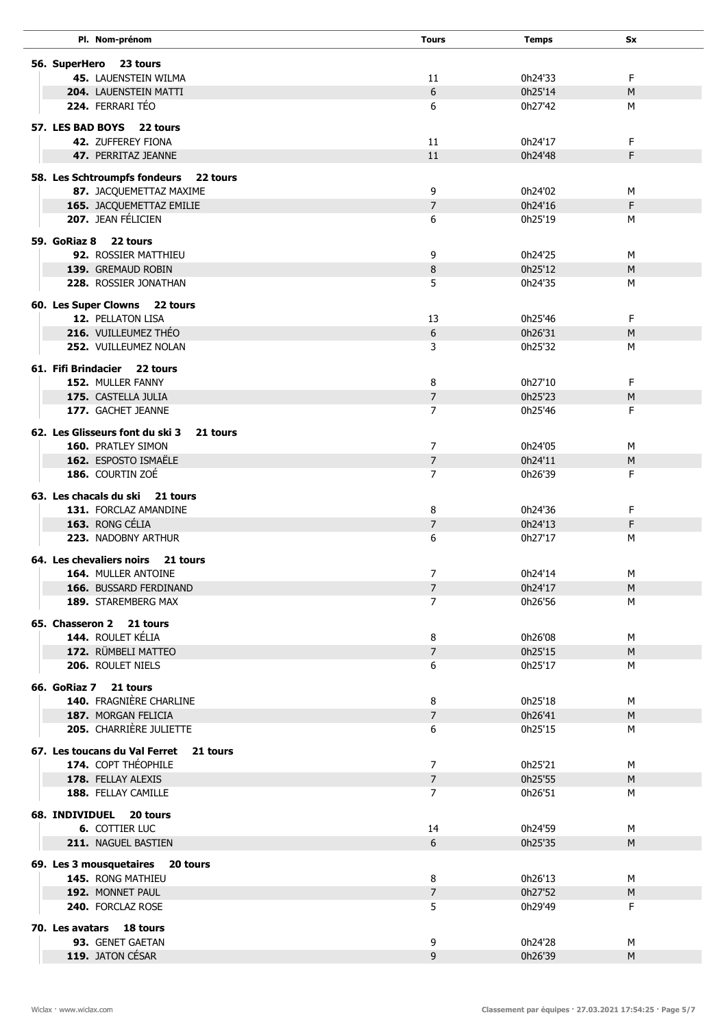| Pl. Nom-prénom                              | <b>Tours</b>   | Temps   | <b>Sx</b> |  |
|---------------------------------------------|----------------|---------|-----------|--|
|                                             |                |         |           |  |
| 56. SuperHero<br>23 tours                   |                |         |           |  |
| <b>45. LAUENSTEIN WILMA</b>                 | 11             | 0h24'33 | F         |  |
| <b>204. LAUENSTEIN MATTI</b>                | 6              | 0h25'14 | M         |  |
| 224. FERRARI TÉO                            | 6              | 0h27'42 | М         |  |
| 57. LES BAD BOYS 22 tours                   |                |         |           |  |
| <b>42. ZUFFEREY FIONA</b>                   | 11             | 0h24'17 | F.        |  |
|                                             |                | 0h24'48 |           |  |
| 47. PERRITAZ JEANNE                         | 11             |         | F         |  |
| 58. Les Schtroumpfs fondeurs<br>22 tours    |                |         |           |  |
| 87. JACQUEMETTAZ MAXIME                     | 9              | 0h24'02 | М         |  |
| 165. JACQUEMETTAZ EMILIE                    | $\overline{7}$ | 0h24'16 | F         |  |
| 207. JEAN FÉLICIEN                          | 6              | 0h25'19 | м         |  |
|                                             |                |         |           |  |
| 59. GoRiaz 8 22 tours                       |                |         |           |  |
| <b>92. ROSSIER MATTHIEU</b>                 | 9              | 0h24'25 | M         |  |
| 139. GREMAUD ROBIN                          | 8              | 0h25'12 | M         |  |
| 228. ROSSIER JONATHAN                       | 5              | 0h24'35 | М         |  |
| 60. Les Super Clowns 22 tours               |                |         |           |  |
| <b>12. PELLATON LISA</b>                    | 13             | 0h25'46 | F         |  |
| 216. VUILLEUMEZ THÉO                        | 6              | 0h26'31 | M         |  |
|                                             |                |         |           |  |
| 252. VUILLEUMEZ NOLAN                       | 3              | 0h25'32 | М         |  |
| 61. Fifi Brindacier 22 tours                |                |         |           |  |
| 152. MULLER FANNY                           | 8              | 0h27'10 | F         |  |
| 175. CASTELLA JULIA                         | $\overline{7}$ | 0h25'23 | M         |  |
| 177. GACHET JEANNE                          | $\overline{7}$ | 0h25'46 | F         |  |
|                                             |                |         |           |  |
| 62. Les Glisseurs font du ski 3<br>21 tours |                |         |           |  |
| 160. PRATLEY SIMON                          | 7              | 0h24'05 | М         |  |
| 162. ESPOSTO ISMAËLE                        | $\overline{7}$ | 0h24'11 | M         |  |
| 186. COURTIN ZOÉ                            | 7              | 0h26'39 | F         |  |
| 63. Les chacals du ski<br>21 tours          |                |         |           |  |
| 131. FORCLAZ AMANDINE                       | 8              | 0h24'36 | F         |  |
| 163. RONG CÉLIA                             | $\overline{7}$ | 0h24'13 | F         |  |
| 223. NADOBNY ARTHUR                         | 6              | 0h27'17 | М         |  |
|                                             |                |         |           |  |
| 64. Les chevaliers noirs<br>21 tours        |                |         |           |  |
| 164. MULLER ANTOINE                         | $\overline{7}$ | 0h24'14 | М         |  |
| 166. BUSSARD FERDINAND                      | $\overline{7}$ | 0h24'17 | M         |  |
| 189. STAREMBERG MAX                         | $\overline{7}$ | 0h26'56 | М         |  |
| 65. Chasseron 2 21 tours                    |                |         |           |  |
| 144. ROULET KÉLIA                           | 8              | 0h26'08 | М         |  |
| 172. RÜMBELI MATTEO                         | $\overline{7}$ | 0h25'15 | M         |  |
| 206. ROULET NIELS                           | 6              | 0h25'17 | м         |  |
|                                             |                |         |           |  |
| 66. GoRiaz 7 21 tours                       |                |         |           |  |
| <b>140. FRAGNIÈRE CHARLINE</b>              | 8              | 0h25'18 | м         |  |
| 187. MORGAN FELICIA                         | $\overline{7}$ | 0h26'41 | M         |  |
| 205. CHARRIÈRE JULIETTE                     | 6              | 0h25'15 | м         |  |
| 67. Les toucans du Val Ferret               |                |         |           |  |
| 21 tours<br>174. COPT THÉOPHILE             |                |         |           |  |
|                                             | $\overline{7}$ | 0h25'21 | м         |  |
| 178. FELLAY ALEXIS                          | $\overline{7}$ | 0h25'55 | M         |  |
| 188. FELLAY CAMILLE                         | $\overline{7}$ | 0h26'51 | м         |  |
| 68. INDIVIDUEL 20 tours                     |                |         |           |  |
| <b>6. COTTIER LUC</b>                       | 14             | 0h24'59 | М         |  |
| 211. NAGUEL BASTIEN                         | 6              | 0h25'35 | M         |  |
|                                             |                |         |           |  |
| 69. Les 3 mousquetaires<br>20 tours         |                |         |           |  |
| 145. RONG MATHIEU                           | 8              | 0h26'13 | M         |  |
| 192. MONNET PAUL                            | $\overline{7}$ | 0h27'52 | M         |  |
| 240. FORCLAZ ROSE                           | 5              | 0h29'49 | F.        |  |
| 70. Les avatars 18 tours                    |                |         |           |  |
| 93. GENET GAETAN                            | 9              | 0h24'28 | М         |  |
| 119. JATON CÉSAR                            | 9              | 0h26'39 | M         |  |
|                                             |                |         |           |  |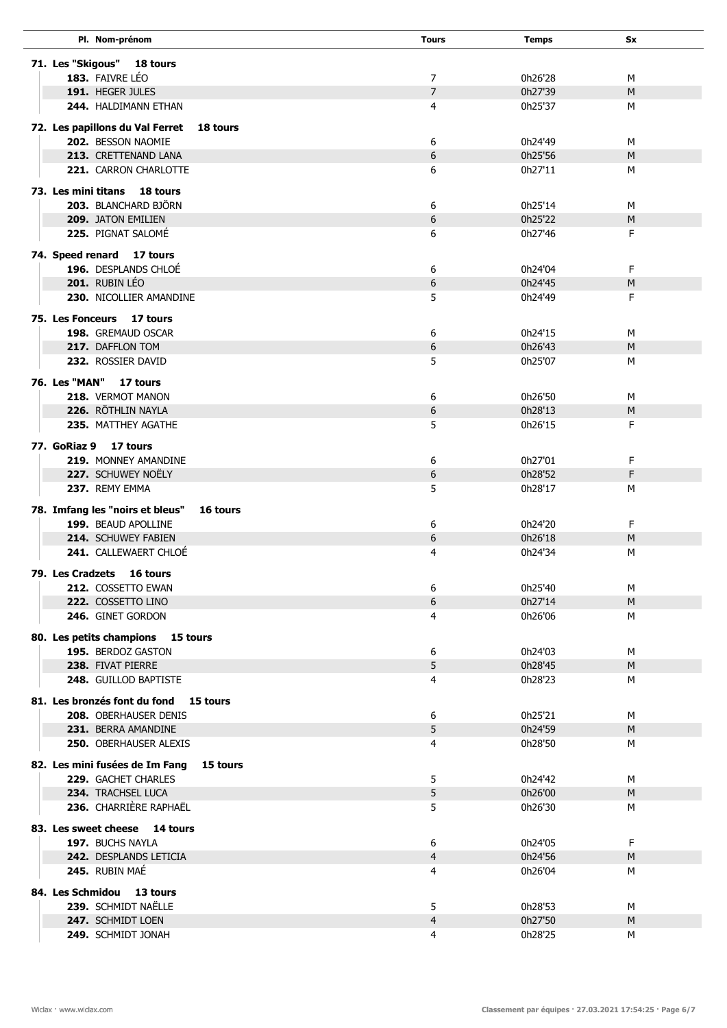|                     | Pl. Nom-prénom                                    |          | <b>Tours</b>   | <b>Temps</b>       | Sx      |  |
|---------------------|---------------------------------------------------|----------|----------------|--------------------|---------|--|
|                     |                                                   |          |                |                    |         |  |
|                     | 71. Les "Skigous" 18 tours<br>183. FAIVRE LÉO     |          | 7              | 0h26'28            | м       |  |
|                     | 191. HEGER JULES                                  |          | $\overline{7}$ | 0h27'39            | M       |  |
|                     | 244. HALDIMANN ETHAN                              |          | 4              | 0h25'37            | М       |  |
|                     |                                                   |          |                |                    |         |  |
|                     | 72. Les papillons du Val Ferret                   | 18 tours |                |                    |         |  |
|                     | 202. BESSON NAOMIE                                |          | 6              | 0h24'49            | М       |  |
|                     | 213. CRETTENAND LANA                              |          | 6              | 0h25'56            | M       |  |
|                     | <b>221. CARRON CHARLOTTE</b>                      |          | 6              | 0h27'11            | М       |  |
| 73. Les mini titans | <b>18 tours</b>                                   |          |                |                    |         |  |
|                     | 203. BLANCHARD BJÖRN                              |          | 6              | 0h25'14            | М       |  |
|                     | 209. JATON EMILIEN                                |          | 6              | 0h25'22            | M       |  |
|                     | 225. PIGNAT SALOMÉ                                |          | 6              | 0h27'46            | F.      |  |
|                     | 74. Speed renard 17 tours                         |          |                |                    |         |  |
|                     | 196. DESPLANDS CHLOÉ                              |          | 6              | 0h24'04            | F.      |  |
|                     | 201. RUBIN LÉO                                    |          | 6              | 0h24'45            | M       |  |
|                     | 230. NICOLLIER AMANDINE                           |          | 5              | 0h24'49            | F.      |  |
|                     |                                                   |          |                |                    |         |  |
|                     | 75. Les Fonceurs 17 tours                         |          |                |                    |         |  |
|                     | 198. GREMAUD OSCAR                                |          | 6              | 0h24'15            | м       |  |
|                     | 217. DAFFLON TOM                                  |          | 6              | 0h26'43            | M       |  |
|                     | 232. ROSSIER DAVID                                |          | 5              | 0h25'07            | М       |  |
| 76. Les "MAN"       | 17 tours                                          |          |                |                    |         |  |
|                     | 218. VERMOT MANON                                 |          | 6              | 0h26'50            | М       |  |
|                     | 226. RÖTHLIN NAYLA                                |          | 6              | 0h28'13            | M       |  |
|                     | 235. MATTHEY AGATHE                               |          | 5              | 0h26'15            | F.      |  |
|                     | 77. GoRiaz 9 17 tours                             |          |                |                    |         |  |
|                     | 219. MONNEY AMANDINE                              |          | 6              | 0h27'01            | F       |  |
|                     | 227. SCHUWEY NOËLY                                |          | 6              | 0h28'52            | F       |  |
|                     | 237. REMY EMMA                                    |          | 5              | 0h28'17            | м       |  |
|                     |                                                   |          |                |                    |         |  |
|                     | 78. Imfang les "noirs et bleus"                   | 16 tours |                |                    |         |  |
|                     | 199. BEAUD APOLLINE<br><b>214. SCHUWEY FABIEN</b> |          | 6              | 0h24'20<br>0h26'18 | F.<br>M |  |
|                     | 241. CALLEWAERT CHLOÉ                             |          | 6<br>4         | 0h24'34            | М       |  |
|                     |                                                   |          |                |                    |         |  |
|                     | 79. Les Cradzets 16 tours                         |          |                |                    |         |  |
|                     | 212. COSSETTO EWAN                                |          | 6              | 0h25'40            | М       |  |
|                     | 222. COSSETTO LINO                                |          | 6              | 0h27'14            | M       |  |
|                     | 246. GINET GORDON                                 |          | 4              | 0h26'06            | м       |  |
|                     | 80. Les petits champions 15 tours                 |          |                |                    |         |  |
|                     | 195. BERDOZ GASTON                                |          | 6              | 0h24'03            | М       |  |
|                     | 238. FIVAT PIERRE                                 |          | 5              | 0h28'45            | M       |  |
|                     | 248. GUILLOD BAPTISTE                             |          | 4              | 0h28'23            | м       |  |
|                     | 81. Les bronzés font du fond 15 tours             |          |                |                    |         |  |
|                     | <b>208. OBERHAUSER DENIS</b>                      |          | 6              | 0h25'21            | М       |  |
|                     | 231. BERRA AMANDINE                               |          | 5              | 0h24'59            | M       |  |
|                     | <b>250. OBERHAUSER ALEXIS</b>                     |          | 4              | 0h28'50            | м       |  |
|                     | 82. Les mini fusées de Im Fang                    | 15 tours |                |                    |         |  |
|                     | 229. GACHET CHARLES                               |          | 5              | 0h24'42            | м       |  |
|                     | 234. TRACHSEL LUCA                                |          | 5              | 0h26'00            | M       |  |
|                     | 236. CHARRIÈRE RAPHAËL                            |          | 5              | 0h26'30            | м       |  |
|                     |                                                   |          |                |                    |         |  |
|                     | 83. Les sweet cheese 14 tours                     |          |                |                    |         |  |
|                     | 197. BUCHS NAYLA                                  |          | 6              | 0h24'05            | F       |  |
|                     | 242. DESPLANDS LETICIA                            |          | $\overline{4}$ | 0h24'56            | M       |  |
|                     | 245. RUBIN MAE                                    |          | 4              | 0h26'04            | м       |  |
|                     | 84. Les Schmidou 13 tours                         |          |                |                    |         |  |
|                     | 239. SCHMIDT NAËLLE                               |          | 5              | 0h28'53            | М       |  |
|                     | 247. SCHMIDT LOEN                                 |          | 4              | 0h27'50            | M       |  |
|                     | 249. SCHMIDT JONAH                                |          | 4              | 0h28'25            | М       |  |